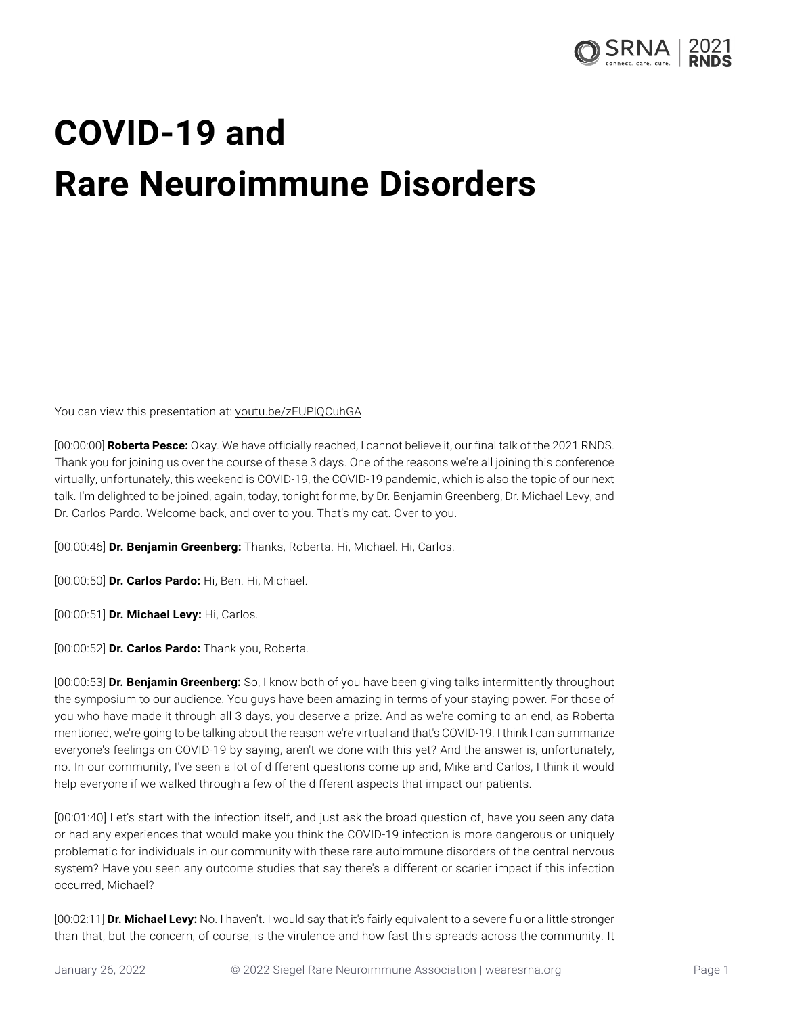

## **COVID-19 and Rare Neuroimmune Disorders**

You can view this presentation at: [youtu.be/zFUPlQCuhGA](https://youtu.be/zFUPlQCuhGA)

[00:00:00] **Roberta Pesce:** Okay. We have officially reached, I cannot believe it, our final talk of the 2021 RNDS. Thank you for joining us over the course of these 3 days. One of the reasons we're all joining this conference virtually, unfortunately, this weekend is COVID-19, the COVID-19 pandemic, which is also the topic of our next talk. I'm delighted to be joined, again, today, tonight for me, by Dr. Benjamin Greenberg, Dr. Michael Levy, and Dr. Carlos Pardo. Welcome back, and over to you. That's my cat. Over to you.

[00:00:46] **Dr. Benjamin Greenberg:** Thanks, Roberta. Hi, Michael. Hi, Carlos.

[00:00:50] **Dr. Carlos Pardo:** Hi, Ben. Hi, Michael.

[00:00:51] **Dr. Michael Levy:** Hi, Carlos.

[00:00:52] **Dr. Carlos Pardo:** Thank you, Roberta.

[00:00:53] **Dr. Benjamin Greenberg:** So, I know both of you have been giving talks intermittently throughout the symposium to our audience. You guys have been amazing in terms of your staying power. For those of you who have made it through all 3 days, you deserve a prize. And as we're coming to an end, as Roberta mentioned, we're going to be talking about the reason we're virtual and that's COVID-19. I think I can summarize everyone's feelings on COVID-19 by saying, aren't we done with this yet? And the answer is, unfortunately, no. In our community, I've seen a lot of different questions come up and, Mike and Carlos, I think it would help everyone if we walked through a few of the different aspects that impact our patients.

[00:01:40] Let's start with the infection itself, and just ask the broad question of, have you seen any data or had any experiences that would make you think the COVID-19 infection is more dangerous or uniquely problematic for individuals in our community with these rare autoimmune disorders of the central nervous system? Have you seen any outcome studies that say there's a different or scarier impact if this infection occurred, Michael?

[00:02:11] **Dr. Michael Levy:** No. I haven't. I would say that it's fairly equivalent to a severe flu or a little stronger than that, but the concern, of course, is the virulence and how fast this spreads across the community. It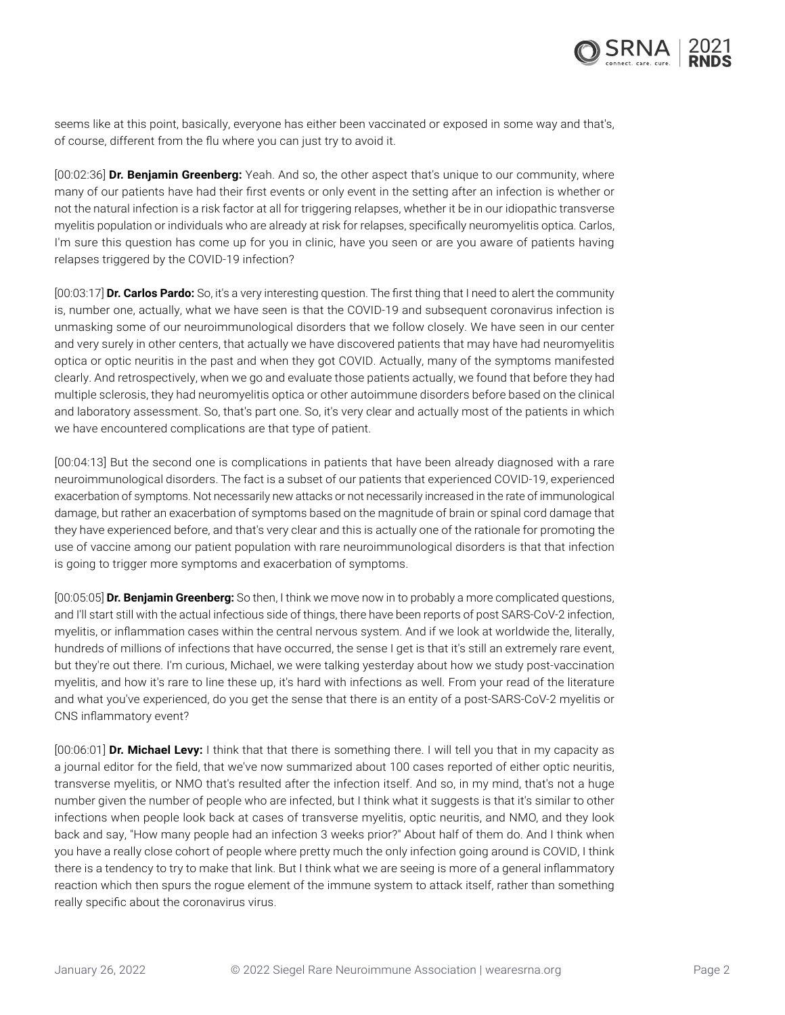

seems like at this point, basically, everyone has either been vaccinated or exposed in some way and that's, of course, different from the flu where you can just try to avoid it.

[00:02:36] **Dr. Benjamin Greenberg:** Yeah. And so, the other aspect that's unique to our community, where many of our patients have had their first events or only event in the setting after an infection is whether or not the natural infection is a risk factor at all for triggering relapses, whether it be in our idiopathic transverse myelitis population or individuals who are already at risk for relapses, specifically neuromyelitis optica. Carlos, I'm sure this question has come up for you in clinic, have you seen or are you aware of patients having relapses triggered by the COVID-19 infection?

[00:03:17] **Dr. Carlos Pardo:** So, it's a very interesting question. The first thing that I need to alert the community is, number one, actually, what we have seen is that the COVID-19 and subsequent coronavirus infection is unmasking some of our neuroimmunological disorders that we follow closely. We have seen in our center and very surely in other centers, that actually we have discovered patients that may have had neuromyelitis optica or optic neuritis in the past and when they got COVID. Actually, many of the symptoms manifested clearly. And retrospectively, when we go and evaluate those patients actually, we found that before they had multiple sclerosis, they had neuromyelitis optica or other autoimmune disorders before based on the clinical and laboratory assessment. So, that's part one. So, it's very clear and actually most of the patients in which we have encountered complications are that type of patient.

[00:04:13] But the second one is complications in patients that have been already diagnosed with a rare neuroimmunological disorders. The fact is a subset of our patients that experienced COVID-19, experienced exacerbation of symptoms. Not necessarily new attacks or not necessarily increased in the rate of immunological damage, but rather an exacerbation of symptoms based on the magnitude of brain or spinal cord damage that they have experienced before, and that's very clear and this is actually one of the rationale for promoting the use of vaccine among our patient population with rare neuroimmunological disorders is that that infection is going to trigger more symptoms and exacerbation of symptoms.

[00:05:05] **Dr. Benjamin Greenberg:** So then, I think we move now in to probably a more complicated questions, and I'll start still with the actual infectious side of things, there have been reports of post SARS-CoV-2 infection, myelitis, or inflammation cases within the central nervous system. And if we look at worldwide the, literally, hundreds of millions of infections that have occurred, the sense I get is that it's still an extremely rare event, but they're out there. I'm curious, Michael, we were talking yesterday about how we study post-vaccination myelitis, and how it's rare to line these up, it's hard with infections as well. From your read of the literature and what you've experienced, do you get the sense that there is an entity of a post-SARS-CoV-2 myelitis or CNS inflammatory event?

[00:06:01] **Dr. Michael Levy:** I think that that there is something there. I will tell you that in my capacity as a journal editor for the field, that we've now summarized about 100 cases reported of either optic neuritis, transverse myelitis, or NMO that's resulted after the infection itself. And so, in my mind, that's not a huge number given the number of people who are infected, but I think what it suggests is that it's similar to other infections when people look back at cases of transverse myelitis, optic neuritis, and NMO, and they look back and say, "How many people had an infection 3 weeks prior?" About half of them do. And I think when you have a really close cohort of people where pretty much the only infection going around is COVID, I think there is a tendency to try to make that link. But I think what we are seeing is more of a general inflammatory reaction which then spurs the rogue element of the immune system to attack itself, rather than something really specific about the coronavirus virus.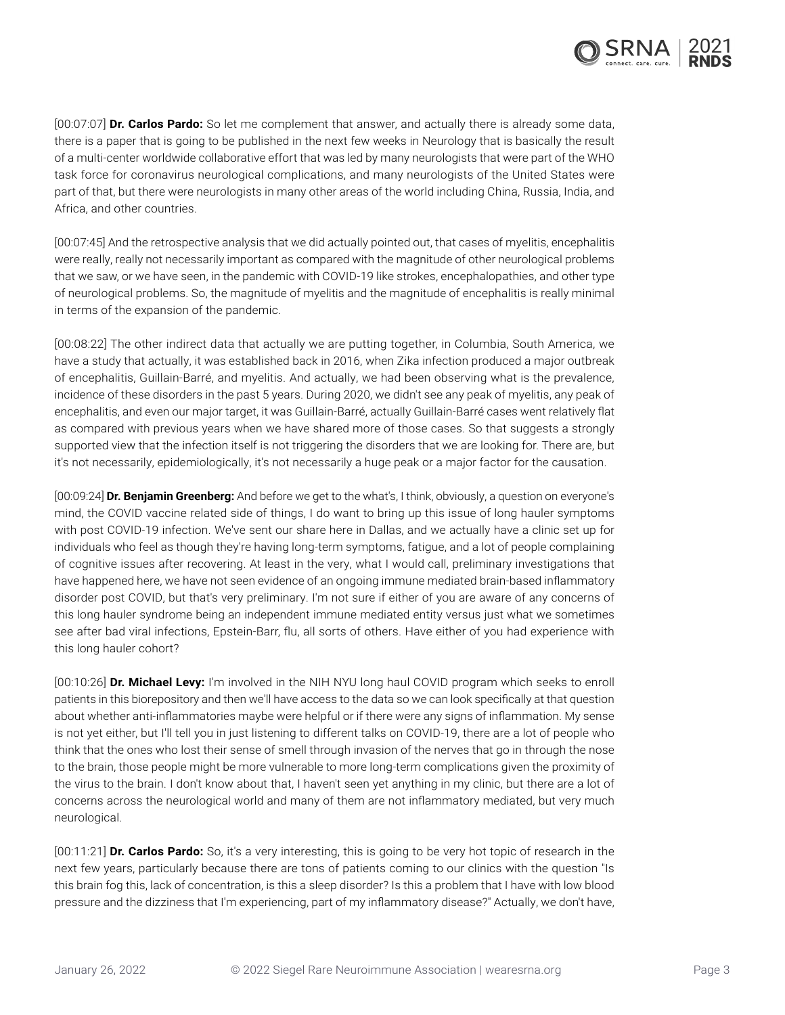

[00:07:07] **Dr. Carlos Pardo:** So let me complement that answer, and actually there is already some data, there is a paper that is going to be published in the next few weeks in Neurology that is basically the result of a multi-center worldwide collaborative effort that was led by many neurologists that were part of the WHO task force for coronavirus neurological complications, and many neurologists of the United States were part of that, but there were neurologists in many other areas of the world including China, Russia, India, and Africa, and other countries.

[00:07:45] And the retrospective analysis that we did actually pointed out, that cases of myelitis, encephalitis were really, really not necessarily important as compared with the magnitude of other neurological problems that we saw, or we have seen, in the pandemic with COVID-19 like strokes, encephalopathies, and other type of neurological problems. So, the magnitude of myelitis and the magnitude of encephalitis is really minimal in terms of the expansion of the pandemic.

[00:08:22] The other indirect data that actually we are putting together, in Columbia, South America, we have a study that actually, it was established back in 2016, when Zika infection produced a major outbreak of encephalitis, Guillain-Barré, and myelitis. And actually, we had been observing what is the prevalence, incidence of these disorders in the past 5 years. During 2020, we didn't see any peak of myelitis, any peak of encephalitis, and even our major target, it was Guillain-Barré, actually Guillain-Barré cases went relatively flat as compared with previous years when we have shared more of those cases. So that suggests a strongly supported view that the infection itself is not triggering the disorders that we are looking for. There are, but it's not necessarily, epidemiologically, it's not necessarily a huge peak or a major factor for the causation.

[00:09:24] **Dr. Benjamin Greenberg:** And before we get to the what's, I think, obviously, a question on everyone's mind, the COVID vaccine related side of things, I do want to bring up this issue of long hauler symptoms with post COVID-19 infection. We've sent our share here in Dallas, and we actually have a clinic set up for individuals who feel as though they're having long-term symptoms, fatigue, and a lot of people complaining of cognitive issues after recovering. At least in the very, what I would call, preliminary investigations that have happened here, we have not seen evidence of an ongoing immune mediated brain-based inflammatory disorder post COVID, but that's very preliminary. I'm not sure if either of you are aware of any concerns of this long hauler syndrome being an independent immune mediated entity versus just what we sometimes see after bad viral infections, Epstein-Barr, flu, all sorts of others. Have either of you had experience with this long hauler cohort?

[00:10:26] **Dr. Michael Levy:** I'm involved in the NIH NYU long haul COVID program which seeks to enroll patients in this biorepository and then we'll have access to the data so we can look specifically at that question about whether anti-inflammatories maybe were helpful or if there were any signs of inflammation. My sense is not yet either, but I'll tell you in just listening to different talks on COVID-19, there are a lot of people who think that the ones who lost their sense of smell through invasion of the nerves that go in through the nose to the brain, those people might be more vulnerable to more long-term complications given the proximity of the virus to the brain. I don't know about that, I haven't seen yet anything in my clinic, but there are a lot of concerns across the neurological world and many of them are not inflammatory mediated, but very much neurological.

[00:11:21] **Dr. Carlos Pardo:** So, it's a very interesting, this is going to be very hot topic of research in the next few years, particularly because there are tons of patients coming to our clinics with the question "Is this brain fog this, lack of concentration, is this a sleep disorder? Is this a problem that I have with low blood pressure and the dizziness that I'm experiencing, part of my inflammatory disease?" Actually, we don't have,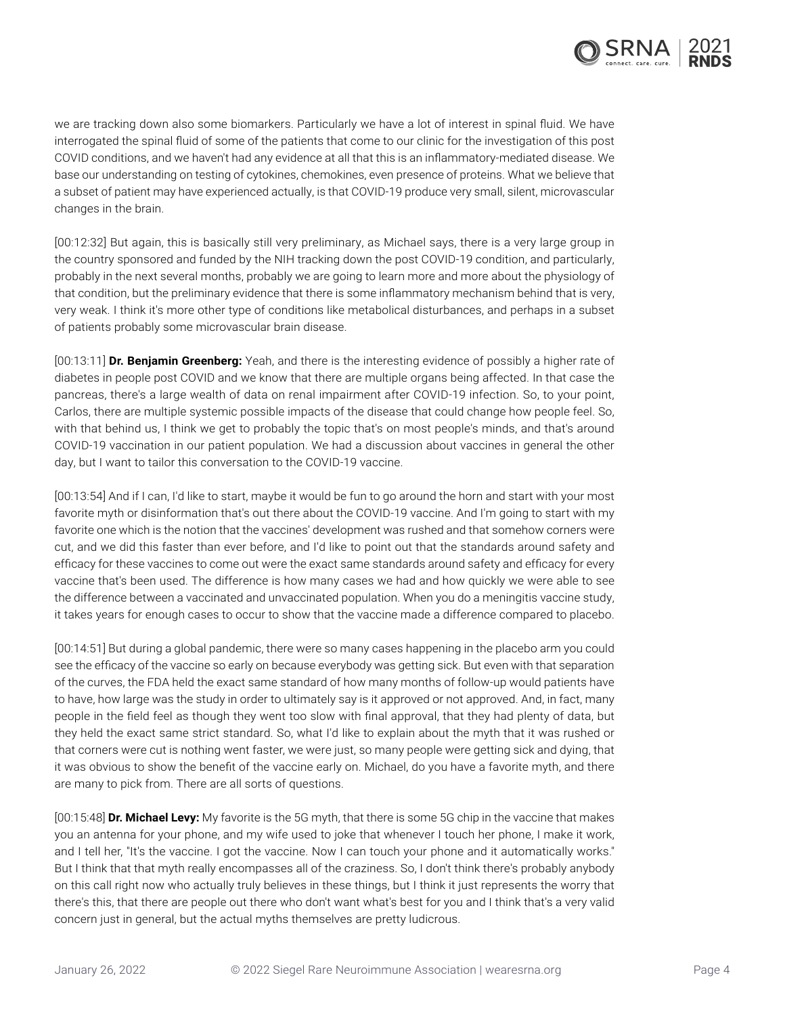

we are tracking down also some biomarkers. Particularly we have a lot of interest in spinal fluid. We have interrogated the spinal fluid of some of the patients that come to our clinic for the investigation of this post COVID conditions, and we haven't had any evidence at all that this is an inflammatory-mediated disease. We base our understanding on testing of cytokines, chemokines, even presence of proteins. What we believe that a subset of patient may have experienced actually, is that COVID-19 produce very small, silent, microvascular changes in the brain.

[00:12:32] But again, this is basically still very preliminary, as Michael says, there is a very large group in the country sponsored and funded by the NIH tracking down the post COVID-19 condition, and particularly, probably in the next several months, probably we are going to learn more and more about the physiology of that condition, but the preliminary evidence that there is some inflammatory mechanism behind that is very, very weak. I think it's more other type of conditions like metabolical disturbances, and perhaps in a subset of patients probably some microvascular brain disease.

[00:13:11] **Dr. Benjamin Greenberg:** Yeah, and there is the interesting evidence of possibly a higher rate of diabetes in people post COVID and we know that there are multiple organs being affected. In that case the pancreas, there's a large wealth of data on renal impairment after COVID-19 infection. So, to your point, Carlos, there are multiple systemic possible impacts of the disease that could change how people feel. So, with that behind us, I think we get to probably the topic that's on most people's minds, and that's around COVID-19 vaccination in our patient population. We had a discussion about vaccines in general the other day, but I want to tailor this conversation to the COVID-19 vaccine.

[00:13:54] And if I can, I'd like to start, maybe it would be fun to go around the horn and start with your most favorite myth or disinformation that's out there about the COVID-19 vaccine. And I'm going to start with my favorite one which is the notion that the vaccines' development was rushed and that somehow corners were cut, and we did this faster than ever before, and I'd like to point out that the standards around safety and efficacy for these vaccines to come out were the exact same standards around safety and efficacy for every vaccine that's been used. The difference is how many cases we had and how quickly we were able to see the difference between a vaccinated and unvaccinated population. When you do a meningitis vaccine study, it takes years for enough cases to occur to show that the vaccine made a difference compared to placebo.

[00:14:51] But during a global pandemic, there were so many cases happening in the placebo arm you could see the efficacy of the vaccine so early on because everybody was getting sick. But even with that separation of the curves, the FDA held the exact same standard of how many months of follow-up would patients have to have, how large was the study in order to ultimately say is it approved or not approved. And, in fact, many people in the field feel as though they went too slow with final approval, that they had plenty of data, but they held the exact same strict standard. So, what I'd like to explain about the myth that it was rushed or that corners were cut is nothing went faster, we were just, so many people were getting sick and dying, that it was obvious to show the benefit of the vaccine early on. Michael, do you have a favorite myth, and there are many to pick from. There are all sorts of questions.

[00:15:48] **Dr. Michael Levy:** My favorite is the 5G myth, that there is some 5G chip in the vaccine that makes you an antenna for your phone, and my wife used to joke that whenever I touch her phone, I make it work, and I tell her, "It's the vaccine. I got the vaccine. Now I can touch your phone and it automatically works." But I think that that myth really encompasses all of the craziness. So, I don't think there's probably anybody on this call right now who actually truly believes in these things, but I think it just represents the worry that there's this, that there are people out there who don't want what's best for you and I think that's a very valid concern just in general, but the actual myths themselves are pretty ludicrous.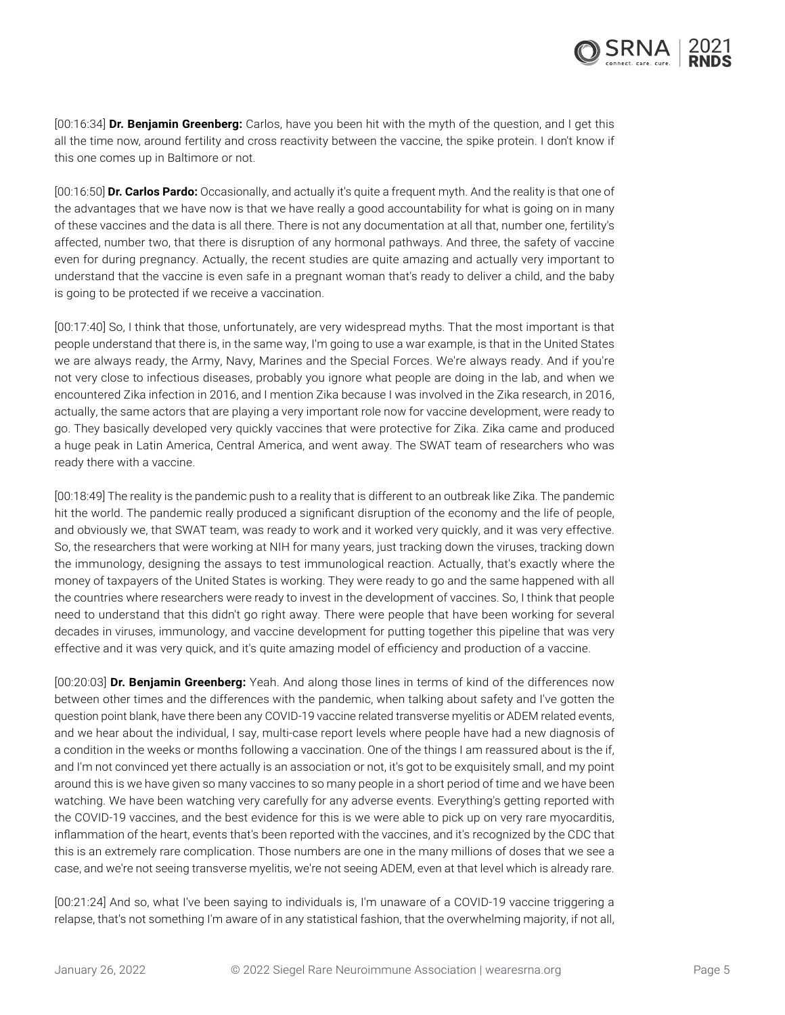[00:16:34] **Dr. Benjamin Greenberg:** Carlos, have you been hit with the myth of the question, and I get this all the time now, around fertility and cross reactivity between the vaccine, the spike protein. I don't know if this one comes up in Baltimore or not.

[00:16:50] **Dr. Carlos Pardo:** Occasionally, and actually it's quite a frequent myth. And the reality is that one of the advantages that we have now is that we have really a good accountability for what is going on in many of these vaccines and the data is all there. There is not any documentation at all that, number one, fertility's affected, number two, that there is disruption of any hormonal pathways. And three, the safety of vaccine even for during pregnancy. Actually, the recent studies are quite amazing and actually very important to understand that the vaccine is even safe in a pregnant woman that's ready to deliver a child, and the baby is going to be protected if we receive a vaccination.

[00:17:40] So, I think that those, unfortunately, are very widespread myths. That the most important is that people understand that there is, in the same way, I'm going to use a war example, is that in the United States we are always ready, the Army, Navy, Marines and the Special Forces. We're always ready. And if you're not very close to infectious diseases, probably you ignore what people are doing in the lab, and when we encountered Zika infection in 2016, and I mention Zika because I was involved in the Zika research, in 2016, actually, the same actors that are playing a very important role now for vaccine development, were ready to go. They basically developed very quickly vaccines that were protective for Zika. Zika came and produced a huge peak in Latin America, Central America, and went away. The SWAT team of researchers who was ready there with a vaccine.

[00:18:49] The reality is the pandemic push to a reality that is different to an outbreak like Zika. The pandemic hit the world. The pandemic really produced a significant disruption of the economy and the life of people, and obviously we, that SWAT team, was ready to work and it worked very quickly, and it was very effective. So, the researchers that were working at NIH for many years, just tracking down the viruses, tracking down the immunology, designing the assays to test immunological reaction. Actually, that's exactly where the money of taxpayers of the United States is working. They were ready to go and the same happened with all the countries where researchers were ready to invest in the development of vaccines. So, I think that people need to understand that this didn't go right away. There were people that have been working for several decades in viruses, immunology, and vaccine development for putting together this pipeline that was very effective and it was very quick, and it's quite amazing model of efficiency and production of a vaccine.

[00:20:03] **Dr. Benjamin Greenberg:** Yeah. And along those lines in terms of kind of the differences now between other times and the differences with the pandemic, when talking about safety and I've gotten the question point blank, have there been any COVID-19 vaccine related transverse myelitis or ADEM related events, and we hear about the individual, I say, multi-case report levels where people have had a new diagnosis of a condition in the weeks or months following a vaccination. One of the things I am reassured about is the if, and I'm not convinced yet there actually is an association or not, it's got to be exquisitely small, and my point around this is we have given so many vaccines to so many people in a short period of time and we have been watching. We have been watching very carefully for any adverse events. Everything's getting reported with the COVID-19 vaccines, and the best evidence for this is we were able to pick up on very rare myocarditis, inflammation of the heart, events that's been reported with the vaccines, and it's recognized by the CDC that this is an extremely rare complication. Those numbers are one in the many millions of doses that we see a case, and we're not seeing transverse myelitis, we're not seeing ADEM, even at that level which is already rare.

[00:21:24] And so, what I've been saying to individuals is, I'm unaware of a COVID-19 vaccine triggering a relapse, that's not something I'm aware of in any statistical fashion, that the overwhelming majority, if not all,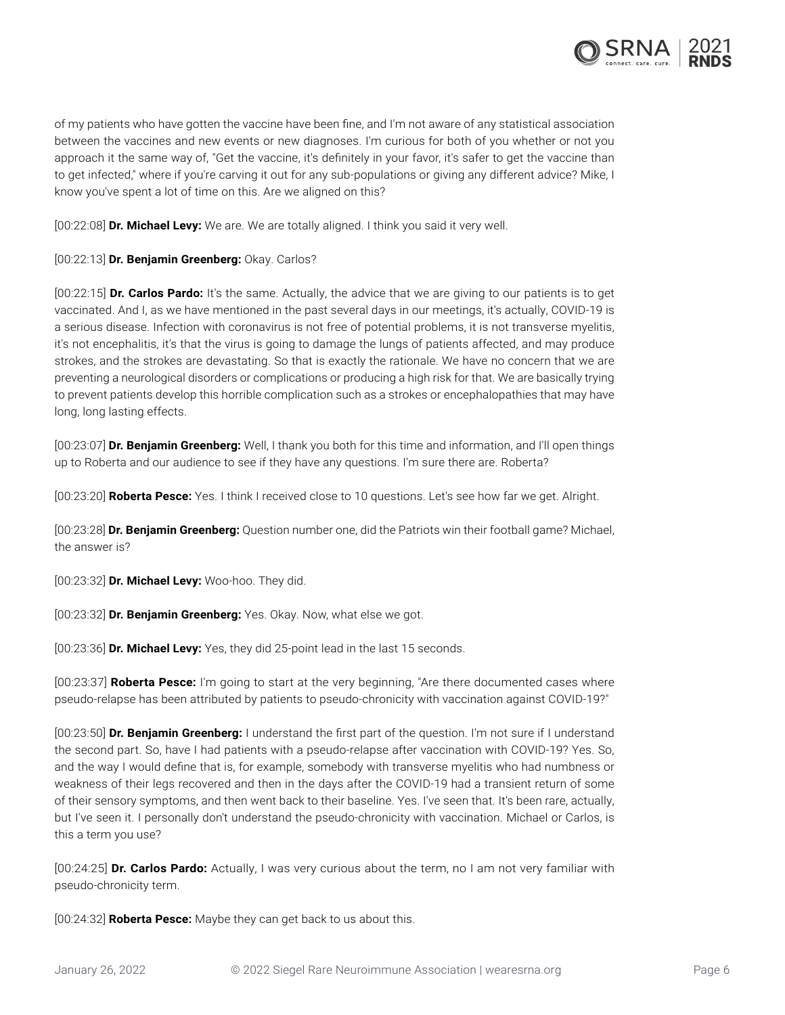

of my patients who have gotten the vaccine have been fine, and I'm not aware of any statistical association between the vaccines and new events or new diagnoses. I'm curious for both of you whether or not you approach it the same way of, "Get the vaccine, it's definitely in your favor, it's safer to get the vaccine than to get infected," where if you're carving it out for any sub-populations or giving any different advice? Mike, I know you've spent a lot of time on this. Are we aligned on this?

[00:22:08] **Dr. Michael Levy:** We are. We are totally aligned. I think you said it very well.

[00:22:13] **Dr. Benjamin Greenberg:** Okay. Carlos?

[00:22:15] **Dr. Carlos Pardo:** It's the same. Actually, the advice that we are giving to our patients is to get vaccinated. And I, as we have mentioned in the past several days in our meetings, it's actually, COVID-19 is a serious disease. Infection with coronavirus is not free of potential problems, it is not transverse myelitis, it's not encephalitis, it's that the virus is going to damage the lungs of patients affected, and may produce strokes, and the strokes are devastating. So that is exactly the rationale. We have no concern that we are preventing a neurological disorders or complications or producing a high risk for that. We are basically trying to prevent patients develop this horrible complication such as a strokes or encephalopathies that may have long, long lasting effects.

[00:23:07] **Dr. Benjamin Greenberg:** Well, I thank you both for this time and information, and I'll open things up to Roberta and our audience to see if they have any questions. I'm sure there are. Roberta?

[00:23:20] **Roberta Pesce:** Yes. I think I received close to 10 questions. Let's see how far we get. Alright.

[00:23:28] **Dr. Benjamin Greenberg:** Question number one, did the Patriots win their football game? Michael, the answer is?

[00:23:32] **Dr. Michael Levy:** Woo-hoo. They did.

[00:23:32] **Dr. Benjamin Greenberg:** Yes. Okay. Now, what else we got.

[00:23:36] **Dr. Michael Levy:** Yes, they did 25-point lead in the last 15 seconds.

[00:23:37] **Roberta Pesce:** I'm going to start at the very beginning, "Are there documented cases where pseudo-relapse has been attributed by patients to pseudo-chronicity with vaccination against COVID-19?"

[00:23:50] **Dr. Benjamin Greenberg:** I understand the first part of the question. I'm not sure if I understand the second part. So, have I had patients with a pseudo-relapse after vaccination with COVID-19? Yes. So, and the way I would define that is, for example, somebody with transverse myelitis who had numbness or weakness of their legs recovered and then in the days after the COVID-19 had a transient return of some of their sensory symptoms, and then went back to their baseline. Yes. I've seen that. It's been rare, actually, but I've seen it. I personally don't understand the pseudo-chronicity with vaccination. Michael or Carlos, is this a term you use?

[00:24:25] **Dr. Carlos Pardo:** Actually, I was very curious about the term, no I am not very familiar with pseudo-chronicity term.

[00:24:32] **Roberta Pesce:** Maybe they can get back to us about this.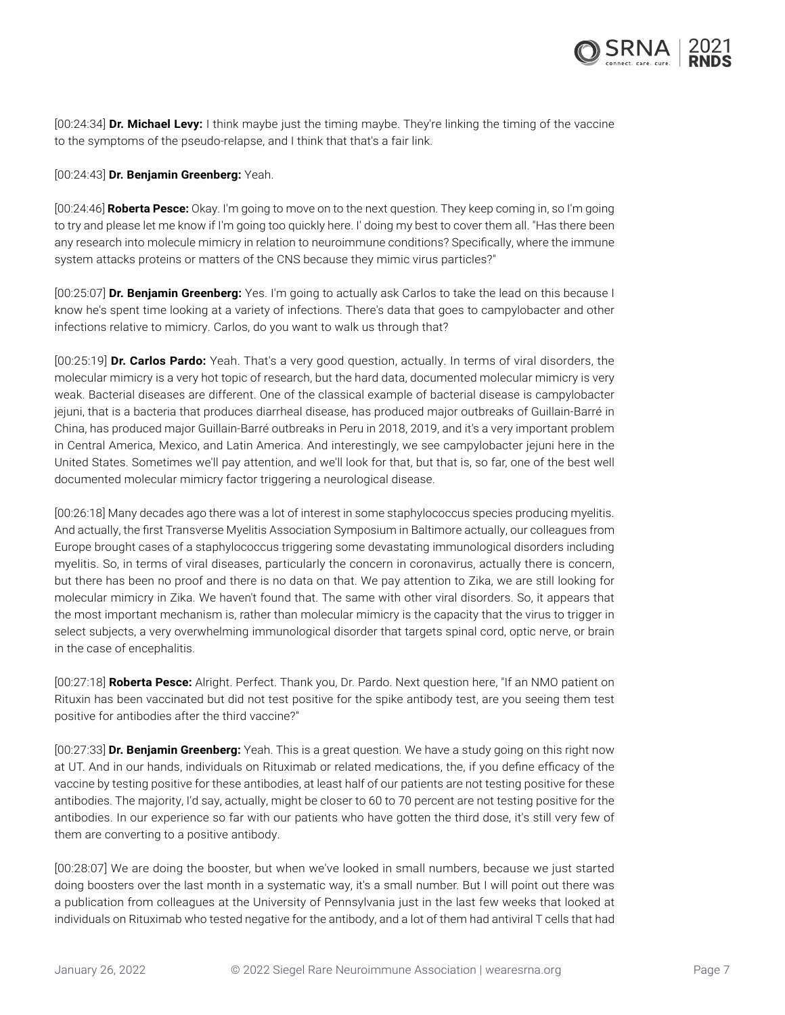

[00:24:34] **Dr. Michael Levy:** I think maybe just the timing maybe. They're linking the timing of the vaccine to the symptoms of the pseudo-relapse, and I think that that's a fair link.

## [00:24:43] **Dr. Benjamin Greenberg:** Yeah.

[00:24:46] **Roberta Pesce:** Okay. I'm going to move on to the next question. They keep coming in, so I'm going to try and please let me know if I'm going too quickly here. I' doing my best to cover them all. "Has there been any research into molecule mimicry in relation to neuroimmune conditions? Specifically, where the immune system attacks proteins or matters of the CNS because they mimic virus particles?"

[00:25:07] **Dr. Benjamin Greenberg:** Yes. I'm going to actually ask Carlos to take the lead on this because I know he's spent time looking at a variety of infections. There's data that goes to campylobacter and other infections relative to mimicry. Carlos, do you want to walk us through that?

[00:25:19] **Dr. Carlos Pardo:** Yeah. That's a very good question, actually. In terms of viral disorders, the molecular mimicry is a very hot topic of research, but the hard data, documented molecular mimicry is very weak. Bacterial diseases are different. One of the classical example of bacterial disease is campylobacter jejuni, that is a bacteria that produces diarrheal disease, has produced major outbreaks of Guillain-Barré in China, has produced major Guillain-Barré outbreaks in Peru in 2018, 2019, and it's a very important problem in Central America, Mexico, and Latin America. And interestingly, we see campylobacter jejuni here in the United States. Sometimes we'll pay attention, and we'll look for that, but that is, so far, one of the best well documented molecular mimicry factor triggering a neurological disease.

[00:26:18] Many decades ago there was a lot of interest in some staphylococcus species producing myelitis. And actually, the first Transverse Myelitis Association Symposium in Baltimore actually, our colleagues from Europe brought cases of a staphylococcus triggering some devastating immunological disorders including myelitis. So, in terms of viral diseases, particularly the concern in coronavirus, actually there is concern, but there has been no proof and there is no data on that. We pay attention to Zika, we are still looking for molecular mimicry in Zika. We haven't found that. The same with other viral disorders. So, it appears that the most important mechanism is, rather than molecular mimicry is the capacity that the virus to trigger in select subjects, a very overwhelming immunological disorder that targets spinal cord, optic nerve, or brain in the case of encephalitis.

[00:27:18] **Roberta Pesce:** Alright. Perfect. Thank you, Dr. Pardo. Next question here, "If an NMO patient on Rituxin has been vaccinated but did not test positive for the spike antibody test, are you seeing them test positive for antibodies after the third vaccine?"

[00:27:33] **Dr. Benjamin Greenberg:** Yeah. This is a great question. We have a study going on this right now at UT. And in our hands, individuals on Rituximab or related medications, the, if you define efficacy of the vaccine by testing positive for these antibodies, at least half of our patients are not testing positive for these antibodies. The majority, I'd say, actually, might be closer to 60 to 70 percent are not testing positive for the antibodies. In our experience so far with our patients who have gotten the third dose, it's still very few of them are converting to a positive antibody.

[00:28:07] We are doing the booster, but when we've looked in small numbers, because we just started doing boosters over the last month in a systematic way, it's a small number. But I will point out there was a publication from colleagues at the University of Pennsylvania just in the last few weeks that looked at individuals on Rituximab who tested negative for the antibody, and a lot of them had antiviral T cells that had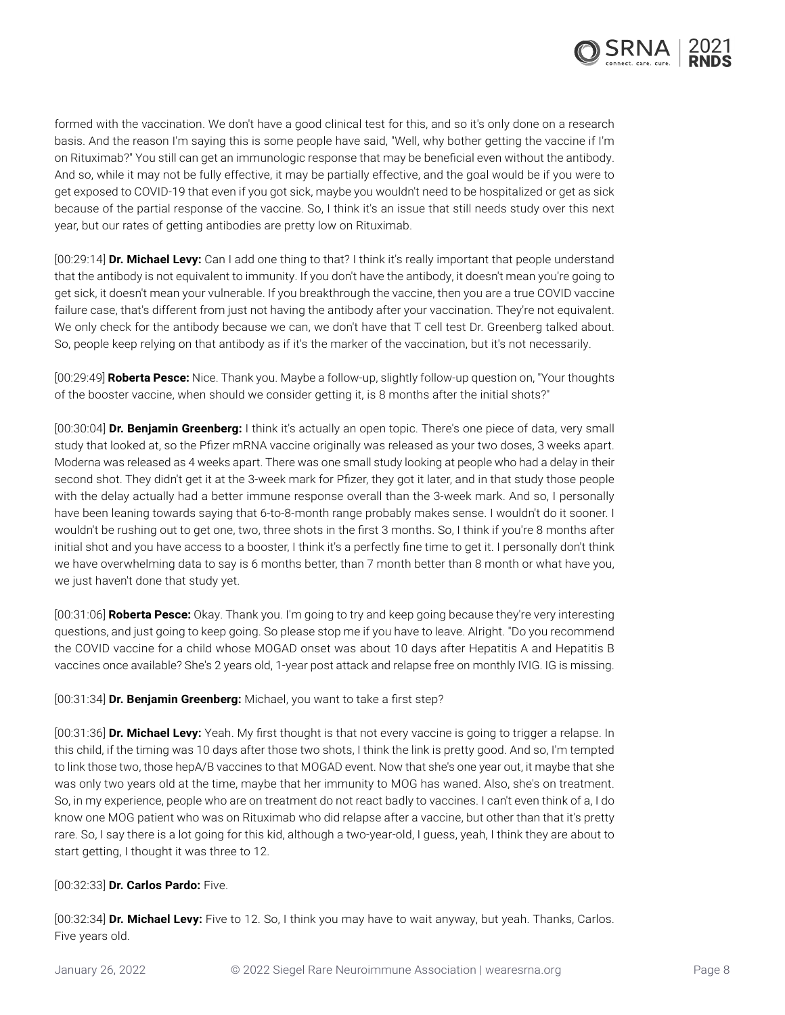

formed with the vaccination. We don't have a good clinical test for this, and so it's only done on a research basis. And the reason I'm saying this is some people have said, "Well, why bother getting the vaccine if I'm on Rituximab?" You still can get an immunologic response that may be beneficial even without the antibody. And so, while it may not be fully effective, it may be partially effective, and the goal would be if you were to get exposed to COVID-19 that even if you got sick, maybe you wouldn't need to be hospitalized or get as sick because of the partial response of the vaccine. So, I think it's an issue that still needs study over this next year, but our rates of getting antibodies are pretty low on Rituximab.

[00:29:14] **Dr. Michael Levy:** Can I add one thing to that? I think it's really important that people understand that the antibody is not equivalent to immunity. If you don't have the antibody, it doesn't mean you're going to get sick, it doesn't mean your vulnerable. If you breakthrough the vaccine, then you are a true COVID vaccine failure case, that's different from just not having the antibody after your vaccination. They're not equivalent. We only check for the antibody because we can, we don't have that T cell test Dr. Greenberg talked about. So, people keep relying on that antibody as if it's the marker of the vaccination, but it's not necessarily.

[00:29:49] **Roberta Pesce:** Nice. Thank you. Maybe a follow-up, slightly follow-up question on, "Your thoughts of the booster vaccine, when should we consider getting it, is 8 months after the initial shots?"

[00:30:04] **Dr. Benjamin Greenberg:** I think it's actually an open topic. There's one piece of data, very small study that looked at, so the Pfizer mRNA vaccine originally was released as your two doses, 3 weeks apart. Moderna was released as 4 weeks apart. There was one small study looking at people who had a delay in their second shot. They didn't get it at the 3-week mark for Pfizer, they got it later, and in that study those people with the delay actually had a better immune response overall than the 3-week mark. And so, I personally have been leaning towards saying that 6-to-8-month range probably makes sense. I wouldn't do it sooner. I wouldn't be rushing out to get one, two, three shots in the first 3 months. So, I think if you're 8 months after initial shot and you have access to a booster, I think it's a perfectly fine time to get it. I personally don't think we have overwhelming data to say is 6 months better, than 7 month better than 8 month or what have you, we just haven't done that study yet.

[00:31:06] **Roberta Pesce:** Okay. Thank you. I'm going to try and keep going because they're very interesting questions, and just going to keep going. So please stop me if you have to leave. Alright. "Do you recommend the COVID vaccine for a child whose MOGAD onset was about 10 days after Hepatitis A and Hepatitis B vaccines once available? She's 2 years old, 1-year post attack and relapse free on monthly IVIG. IG is missing.

[00:31:34] **Dr. Benjamin Greenberg:** Michael, you want to take a first step?

[00:31:36] **Dr. Michael Levy:** Yeah. My first thought is that not every vaccine is going to trigger a relapse. In this child, if the timing was 10 days after those two shots, I think the link is pretty good. And so, I'm tempted to link those two, those hepA/B vaccines to that MOGAD event. Now that she's one year out, it maybe that she was only two years old at the time, maybe that her immunity to MOG has waned. Also, she's on treatment. So, in my experience, people who are on treatment do not react badly to vaccines. I can't even think of a, I do know one MOG patient who was on Rituximab who did relapse after a vaccine, but other than that it's pretty rare. So, I say there is a lot going for this kid, although a two-year-old, I guess, yeah, I think they are about to start getting, I thought it was three to 12.

## [00:32:33] **Dr. Carlos Pardo:** Five.

[00:32:34] **Dr. Michael Levy:** Five to 12. So, I think you may have to wait anyway, but yeah. Thanks, Carlos. Five years old.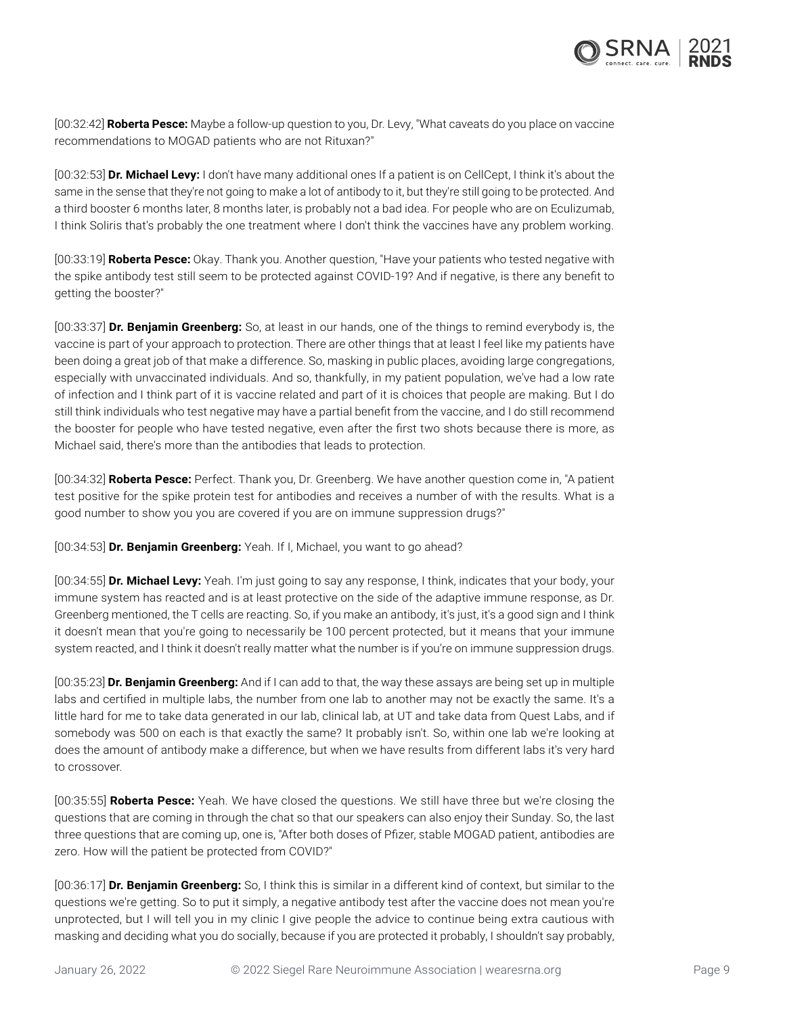

[00:32:42] **Roberta Pesce:** Maybe a follow-up question to you, Dr. Levy, "What caveats do you place on vaccine recommendations to MOGAD patients who are not Rituxan?"

[00:32:53] **Dr. Michael Levy:** I don't have many additional ones If a patient is on CellCept, I think it's about the same in the sense that they're not going to make a lot of antibody to it, but they're still going to be protected. And a third booster 6 months later, 8 months later, is probably not a bad idea. For people who are on Eculizumab, I think Soliris that's probably the one treatment where I don't think the vaccines have any problem working.

[00:33:19] **Roberta Pesce:** Okay. Thank you. Another question, "Have your patients who tested negative with the spike antibody test still seem to be protected against COVID-19? And if negative, is there any benefit to getting the booster?"

[00:33:37] **Dr. Benjamin Greenberg:** So, at least in our hands, one of the things to remind everybody is, the vaccine is part of your approach to protection. There are other things that at least I feel like my patients have been doing a great job of that make a difference. So, masking in public places, avoiding large congregations, especially with unvaccinated individuals. And so, thankfully, in my patient population, we've had a low rate of infection and I think part of it is vaccine related and part of it is choices that people are making. But I do still think individuals who test negative may have a partial benefit from the vaccine, and I do still recommend the booster for people who have tested negative, even after the first two shots because there is more, as Michael said, there's more than the antibodies that leads to protection.

[00:34:32] **Roberta Pesce:** Perfect. Thank you, Dr. Greenberg. We have another question come in, "A patient test positive for the spike protein test for antibodies and receives a number of with the results. What is a good number to show you you are covered if you are on immune suppression drugs?"

[00:34:53] **Dr. Benjamin Greenberg:** Yeah. If I, Michael, you want to go ahead?

[00:34:55] **Dr. Michael Levy:** Yeah. I'm just going to say any response, I think, indicates that your body, your immune system has reacted and is at least protective on the side of the adaptive immune response, as Dr. Greenberg mentioned, the T cells are reacting. So, if you make an antibody, it's just, it's a good sign and I think it doesn't mean that you're going to necessarily be 100 percent protected, but it means that your immune system reacted, and I think it doesn't really matter what the number is if you're on immune suppression drugs.

[00:35:23] **Dr. Benjamin Greenberg:** And if I can add to that, the way these assays are being set up in multiple labs and certified in multiple labs, the number from one lab to another may not be exactly the same. It's a little hard for me to take data generated in our lab, clinical lab, at UT and take data from Quest Labs, and if somebody was 500 on each is that exactly the same? It probably isn't. So, within one lab we're looking at does the amount of antibody make a difference, but when we have results from different labs it's very hard to crossover.

[00:35:55] **Roberta Pesce:** Yeah. We have closed the questions. We still have three but we're closing the questions that are coming in through the chat so that our speakers can also enjoy their Sunday. So, the last three questions that are coming up, one is, "After both doses of Pfizer, stable MOGAD patient, antibodies are zero. How will the patient be protected from COVID?"

[00:36:17] **Dr. Benjamin Greenberg:** So, I think this is similar in a different kind of context, but similar to the questions we're getting. So to put it simply, a negative antibody test after the vaccine does not mean you're unprotected, but I will tell you in my clinic I give people the advice to continue being extra cautious with masking and deciding what you do socially, because if you are protected it probably, I shouldn't say probably,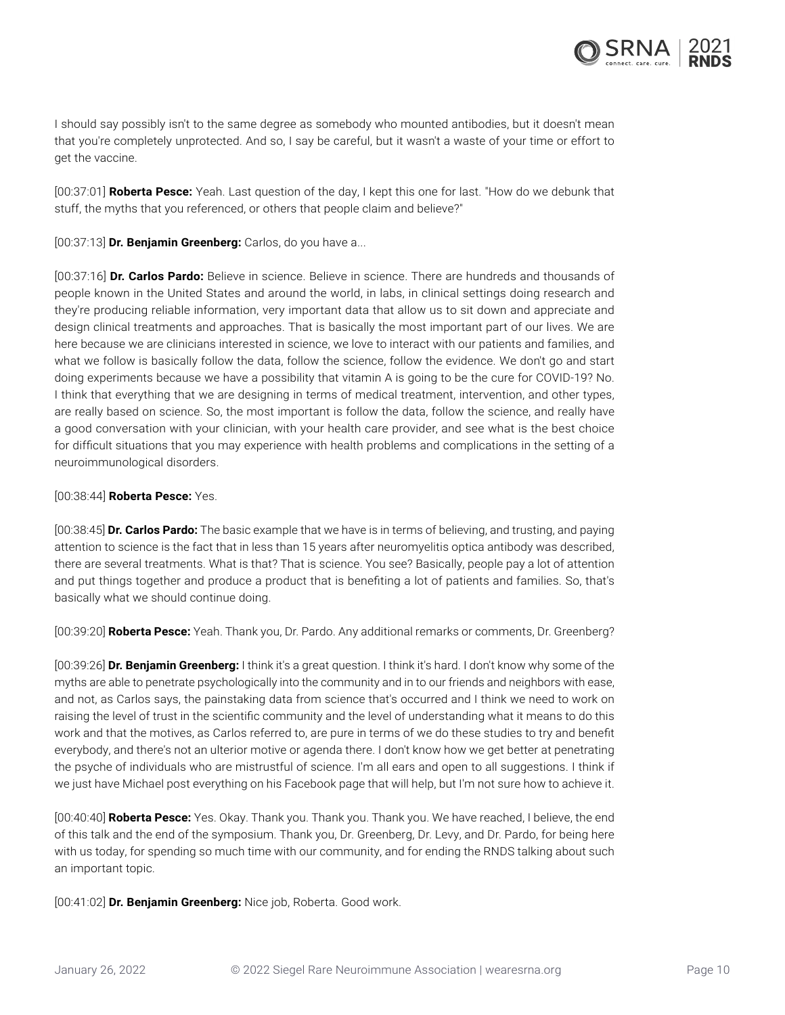

I should say possibly isn't to the same degree as somebody who mounted antibodies, but it doesn't mean that you're completely unprotected. And so, I say be careful, but it wasn't a waste of your time or effort to get the vaccine.

[00:37:01] **Roberta Pesce:** Yeah. Last question of the day, I kept this one for last. "How do we debunk that stuff, the myths that you referenced, or others that people claim and believe?"

[00:37:13] **Dr. Benjamin Greenberg:** Carlos, do you have a...

[00:37:16] **Dr. Carlos Pardo:** Believe in science. Believe in science. There are hundreds and thousands of people known in the United States and around the world, in labs, in clinical settings doing research and they're producing reliable information, very important data that allow us to sit down and appreciate and design clinical treatments and approaches. That is basically the most important part of our lives. We are here because we are clinicians interested in science, we love to interact with our patients and families, and what we follow is basically follow the data, follow the science, follow the evidence. We don't go and start doing experiments because we have a possibility that vitamin A is going to be the cure for COVID-19? No. I think that everything that we are designing in terms of medical treatment, intervention, and other types, are really based on science. So, the most important is follow the data, follow the science, and really have a good conversation with your clinician, with your health care provider, and see what is the best choice for difficult situations that you may experience with health problems and complications in the setting of a neuroimmunological disorders.

## [00:38:44] **Roberta Pesce:** Yes.

[00:38:45] **Dr. Carlos Pardo:** The basic example that we have is in terms of believing, and trusting, and paying attention to science is the fact that in less than 15 years after neuromyelitis optica antibody was described, there are several treatments. What is that? That is science. You see? Basically, people pay a lot of attention and put things together and produce a product that is benefiting a lot of patients and families. So, that's basically what we should continue doing.

[00:39:20] **Roberta Pesce:** Yeah. Thank you, Dr. Pardo. Any additional remarks or comments, Dr. Greenberg?

[00:39:26] **Dr. Benjamin Greenberg:** I think it's a great question. I think it's hard. I don't know why some of the myths are able to penetrate psychologically into the community and in to our friends and neighbors with ease, and not, as Carlos says, the painstaking data from science that's occurred and I think we need to work on raising the level of trust in the scientific community and the level of understanding what it means to do this work and that the motives, as Carlos referred to, are pure in terms of we do these studies to try and benefit everybody, and there's not an ulterior motive or agenda there. I don't know how we get better at penetrating the psyche of individuals who are mistrustful of science. I'm all ears and open to all suggestions. I think if we just have Michael post everything on his Facebook page that will help, but I'm not sure how to achieve it.

[00:40:40] **Roberta Pesce:** Yes. Okay. Thank you. Thank you. Thank you. We have reached, I believe, the end of this talk and the end of the symposium. Thank you, Dr. Greenberg, Dr. Levy, and Dr. Pardo, for being here with us today, for spending so much time with our community, and for ending the RNDS talking about such an important topic.

[00:41:02] **Dr. Benjamin Greenberg:** Nice job, Roberta. Good work.